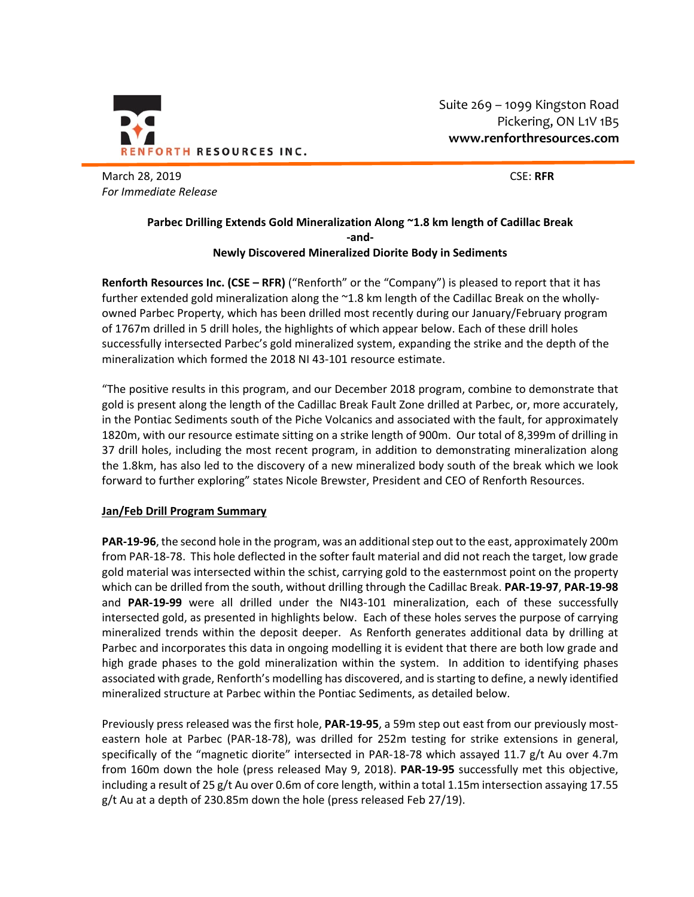

Suite 269 – 1099 Kingston Road Pickering, ON L1V 1B5 **www.renforthresources.com**

March 28, 2019 CSE: **RFR**  *For Immediate Release* 

## **Parbec Drilling Extends Gold Mineralization Along ~1.8 km length of Cadillac Break ‐and‐ Newly Discovered Mineralized Diorite Body in Sediments**

**Renforth Resources Inc. (CSE – RFR)** ("Renforth" or the "Company") is pleased to report that it has further extended gold mineralization along the ~1.8 km length of the Cadillac Break on the whollyowned Parbec Property, which has been drilled most recently during our January/February program of 1767m drilled in 5 drill holes, the highlights of which appear below. Each of these drill holes successfully intersected Parbec's gold mineralized system, expanding the strike and the depth of the mineralization which formed the 2018 NI 43‐101 resource estimate.

"The positive results in this program, and our December 2018 program, combine to demonstrate that gold is present along the length of the Cadillac Break Fault Zone drilled at Parbec, or, more accurately, in the Pontiac Sediments south of the Piche Volcanics and associated with the fault, for approximately 1820m, with our resource estimate sitting on a strike length of 900m. Our total of 8,399m of drilling in 37 drill holes, including the most recent program, in addition to demonstrating mineralization along the 1.8km, has also led to the discovery of a new mineralized body south of the break which we look forward to further exploring" states Nicole Brewster, President and CEO of Renforth Resources.

# **Jan/Feb Drill Program Summary**

**PAR‐19‐96**, the second hole in the program, was an additional step out to the east, approximately 200m from PAR‐18‐78. This hole deflected in the softer fault material and did not reach the target, low grade gold material was intersected within the schist, carrying gold to the easternmost point on the property which can be drilled from the south, without drilling through the Cadillac Break. **PAR‐19‐97**, **PAR‐19‐98** and **PAR‐19‐99** were all drilled under the NI43‐101 mineralization, each of these successfully intersected gold, as presented in highlights below. Each of these holes serves the purpose of carrying mineralized trends within the deposit deeper. As Renforth generates additional data by drilling at Parbec and incorporates this data in ongoing modelling it is evident that there are both low grade and high grade phases to the gold mineralization within the system. In addition to identifying phases associated with grade, Renforth's modelling has discovered, and is starting to define, a newly identified mineralized structure at Parbec within the Pontiac Sediments, as detailed below.

Previously press released was the first hole, **PAR‐19‐95**, a 59m step out east from our previously most‐ eastern hole at Parbec (PAR-18-78), was drilled for 252m testing for strike extensions in general, specifically of the "magnetic diorite" intersected in PAR-18-78 which assayed 11.7 g/t Au over 4.7m from 160m down the hole (press released May 9, 2018). **PAR‐19‐95** successfully met this objective, including a result of 25 g/t Au over 0.6m of core length, within a total 1.15m intersection assaying 17.55 g/t Au at a depth of 230.85m down the hole (press released Feb 27/19).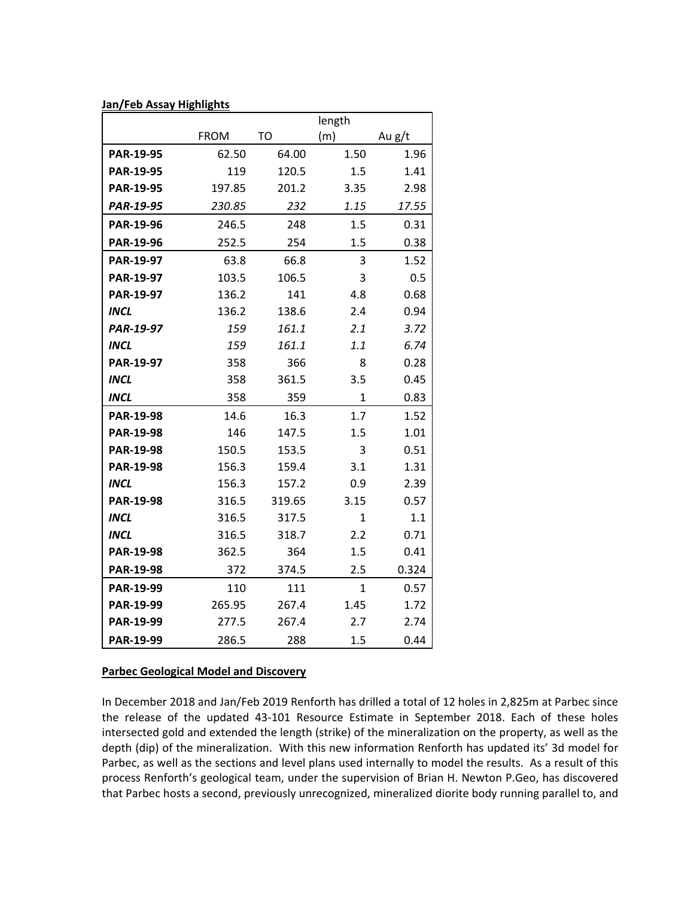| Jan/Feb Assay Highlights |             |           |             |        |
|--------------------------|-------------|-----------|-------------|--------|
|                          |             |           | length      |        |
|                          | <b>FROM</b> | <b>TO</b> | (m)         | Au g/t |
| <b>PAR-19-95</b>         | 62.50       | 64.00     | 1.50        | 1.96   |
| <b>PAR-19-95</b>         | 119         | 120.5     | 1.5         | 1.41   |
| PAR-19-95                | 197.85      | 201.2     | 3.35        | 2.98   |
| PAR-19-95                | 230.85      | 232       | 1.15        | 17.55  |
| PAR-19-96                | 246.5       | 248       | 1.5         | 0.31   |
| PAR-19-96                | 252.5       | 254       | 1.5         | 0.38   |
| PAR-19-97                | 63.8        | 66.8      | 3           | 1.52   |
| PAR-19-97                | 103.5       | 106.5     | 3           | 0.5    |
| PAR-19-97                | 136.2       | 141       | 4.8         | 0.68   |
| <b>INCL</b>              | 136.2       | 138.6     | 2.4         | 0.94   |
| PAR-19-97                | 159         | 161.1     | 2.1         | 3.72   |
| <b>INCL</b>              | 159         | 161.1     | 1.1         | 6.74   |
| PAR-19-97                | 358         | 366       | 8           | 0.28   |
| <b>INCL</b>              | 358         | 361.5     | 3.5         | 0.45   |
| <b>INCL</b>              | 358         | 359       | $\mathbf 1$ | 0.83   |
| <b>PAR-19-98</b>         | 14.6        | 16.3      | 1.7         | 1.52   |
| PAR-19-98                | 146         | 147.5     | 1.5         | 1.01   |
| <b>PAR-19-98</b>         | 150.5       | 153.5     | 3           | 0.51   |
| PAR-19-98                | 156.3       | 159.4     | 3.1         | 1.31   |
| <b>INCL</b>              | 156.3       | 157.2     | 0.9         | 2.39   |
| <b>PAR-19-98</b>         | 316.5       | 319.65    | 3.15        | 0.57   |
| <b>INCL</b>              | 316.5       | 317.5     | 1           | 1.1    |
| <b>INCL</b>              | 316.5       | 318.7     | 2.2         | 0.71   |
| PAR-19-98                | 362.5       | 364       | 1.5         | 0.41   |
| PAR-19-98                | 372         | 374.5     | 2.5         | 0.324  |
| PAR-19-99                | 110         | 111       | 1           | 0.57   |
| PAR-19-99                | 265.95      | 267.4     | 1.45        | 1.72   |
| PAR-19-99                | 277.5       | 267.4     | 2.7         | 2.74   |
| PAR-19-99                | 286.5       | 288       | 1.5         | 0.44   |

#### **Parbec Geological Model and Discovery**

In December 2018 and Jan/Feb 2019 Renforth has drilled a total of 12 holes in 2,825m at Parbec since the release of the updated 43‐101 Resource Estimate in September 2018. Each of these holes intersected gold and extended the length (strike) of the mineralization on the property, as well as the depth (dip) of the mineralization. With this new information Renforth has updated its' 3d model for Parbec, as well as the sections and level plans used internally to model the results. As a result of this process Renforth's geological team, under the supervision of Brian H. Newton P.Geo, has discovered that Parbec hosts a second, previously unrecognized, mineralized diorite body running parallel to, and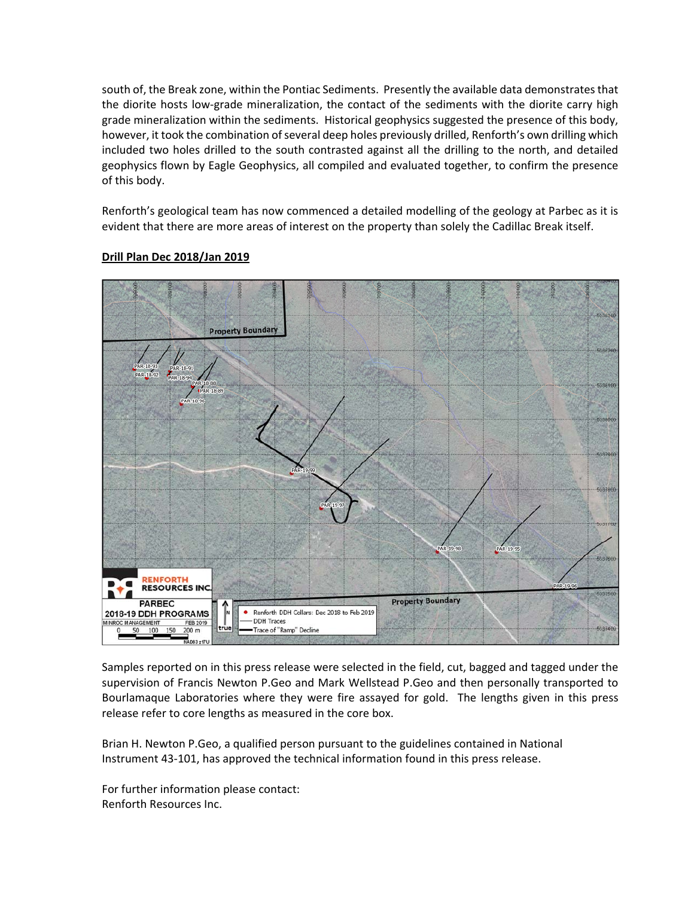south of, the Break zone, within the Pontiac Sediments. Presently the available data demonstrates that the diorite hosts low‐grade mineralization, the contact of the sediments with the diorite carry high grade mineralization within the sediments. Historical geophysics suggested the presence of this body, however, it took the combination of several deep holes previously drilled, Renforth's own drilling which included two holes drilled to the south contrasted against all the drilling to the north, and detailed geophysics flown by Eagle Geophysics, all compiled and evaluated together, to confirm the presence of this body.

Renforth's geological team has now commenced a detailed modelling of the geology at Parbec as it is evident that there are more areas of interest on the property than solely the Cadillac Break itself.



## **Drill Plan Dec 2018/Jan 2019**

Samples reported on in this press release were selected in the field, cut, bagged and tagged under the supervision of Francis Newton P.Geo and Mark Wellstead P.Geo and then personally transported to Bourlamaque Laboratories where they were fire assayed for gold. The lengths given in this press release refer to core lengths as measured in the core box.

Brian H. Newton P.Geo, a qualified person pursuant to the guidelines contained in National Instrument 43‐101, has approved the technical information found in this press release.

For further information please contact: Renforth Resources Inc.